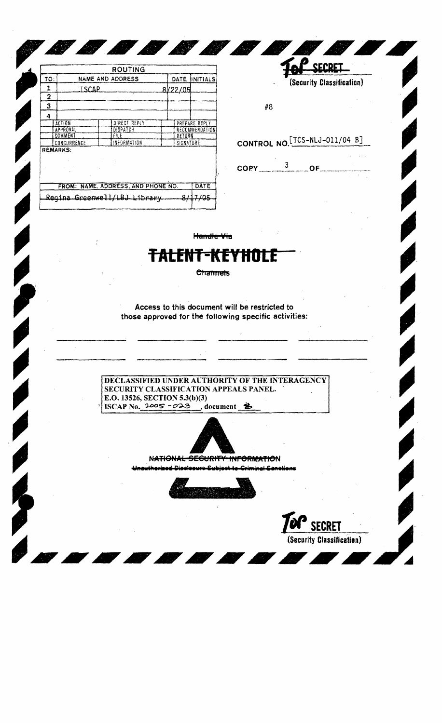|                                           |                         | ROUTING         |  |                |                 |
|-------------------------------------------|-------------------------|-----------------|--|----------------|-----------------|
| TO:                                       | <b>NAME AND ADDRESS</b> |                 |  | DATE.          | <b>INITIALS</b> |
| 1                                         | <b>ISCAP</b>            |                 |  | 8/22/05        |                 |
| 2                                         |                         |                 |  |                |                 |
| 3                                         |                         |                 |  |                |                 |
| 4                                         |                         |                 |  |                |                 |
|                                           | ACTION                  | DIRECT REPLY    |  |                | PREPARE REPLY   |
|                                           | <b>APPROVAL</b>         | <b>DISPATCH</b> |  | RECOMMENDATION |                 |
|                                           | COMMENT                 | FILE            |  | RETURN         |                 |
|                                           | CONCURRENCE             | INFORMATION     |  | SIGNATURE      |                 |
| <b>REMARKS:</b>                           |                         |                 |  |                |                 |
| FROM: NAME ADDRESS, AND PHONE NO.<br>DATE |                         |                 |  |                |                 |
| Regina Greenwell/LBJ Library              |                         |                 |  |                |                 |

<u> Alban Maria Santa Maria Santa Alban Maria Santa Alban Maria Santa Alban Maria Santa Alban Maria Santa Alban </u>

SECRET (Security Classification)

#8

## CONTROL NO. [TCS-NLJ-011/04 B]



Handle Via

## it-kf

 $\label{eq:1} \frac{1}{\sqrt{2}}\sum_{i=1}^{N} \frac{1}{\sqrt{2}}\sum_{i=1}^{N} \frac{1}{\sqrt{N}}\sum_{i=1}^{N} \frac{1}{\sqrt{N}}\sum_{i=1}^{N} \frac{1}{\sqrt{N}}\sum_{i=1}^{N} \frac{1}{\sqrt{N}}\sum_{i=1}^{N} \frac{1}{\sqrt{N}}\sum_{i=1}^{N} \frac{1}{\sqrt{N}}\sum_{i=1}^{N} \frac{1}{\sqrt{N}}\sum_{i=1}^{N} \frac{1}{\sqrt{N}}\sum_{i=1}^{N} \frac{1}{\sqrt{N}}\sum_{$ 

**Channels** 

Access to this document will be restricted to those approved for the following specific activities:

DECLASSIFIED UNDER AUTHORITY OF THE INTERAGENCY SECURITY CLASSIFICATION APPEALS PANEL. E.O. 13526, SECTION 5.3(b)(3) ISCAP No.  $2005 - 023$ , document \$



NATIONAL SECURITY INFORMATION



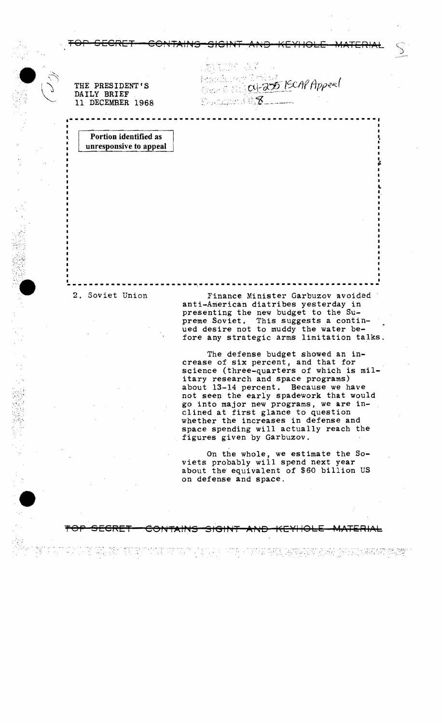11 DECEMBER 1968

.1 THE PRESIDENT'S  $\alpha$ <sup>2</sup>  $\alpha$ <sup>2</sup> 250 [SCAP Apperl]

> I P

1 .. I,

. TOP SECRET GONTAINS SIGINT AND KEYHOLE MATERIAL  $\, \, \big\backslash \,$ 

**·--\_ .. \_-----------------------------------------------\_.-.** 

Portion identified as unresponsive to appeal

 $\sim$  1.  $\sim$ 

",' "

-----------------------~--------.-.------ ..----.-------- 2. Soviet Union Finance Minister Garbuzov avoided ••••• <sup>I</sup> <sup>I</sup> anti-American diatribes yesterday in presenting the new budget to the Supreme Soviet. This suggests a continued desire not to muddy the water before any strategic arms limitation talks.

> The defense budget showed an in-<br>crease of six percent, and that for science (three-quarters of which is military research and space programs) about 13-14 percent. Because we have not seen the early spadework that would go into major new programs, we are inclined at first glance to question whether the increases in defense and space spending will actually reach the figures given by Garbuzov.

On the whole, we estimate the Soviets probably will spend next year about the equivalent of \$60 billion US on defense and space.

';,. «"

TOP SECRET CONTAINS SIGINT AND KEYHOLE MATERIAL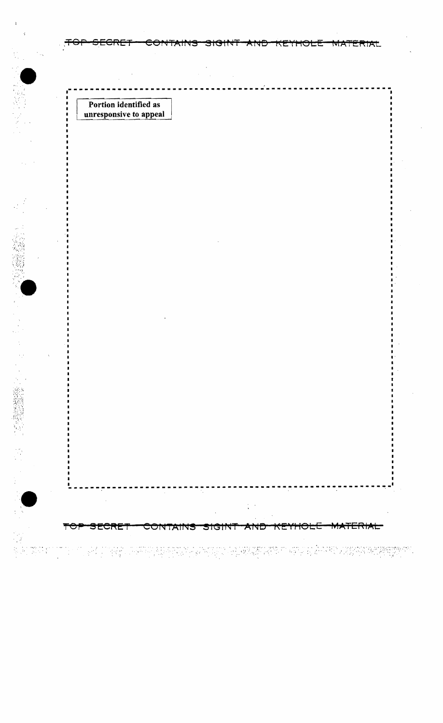Portion identified as<br>unresponsive to appeal

 $\blacksquare$  $\blacksquare$ 

i merekî bi gir

 $\Delta \epsilon$ 

TOF

<del>secret</del>

हों है

ੇਖਦੀ

<del>'CRE</del>

<del>co1</del>

CONTAINS SIGINT AND

oma en Elektrick kanp

**MATERIAL** 

**MATERIAL** 

<del>KEAHOFF</del>

그는 무료하다 전화 한 일까요? 승규 생각 시중화 정보 전문 책임에 있다.

<del>KEYHOLE</del>